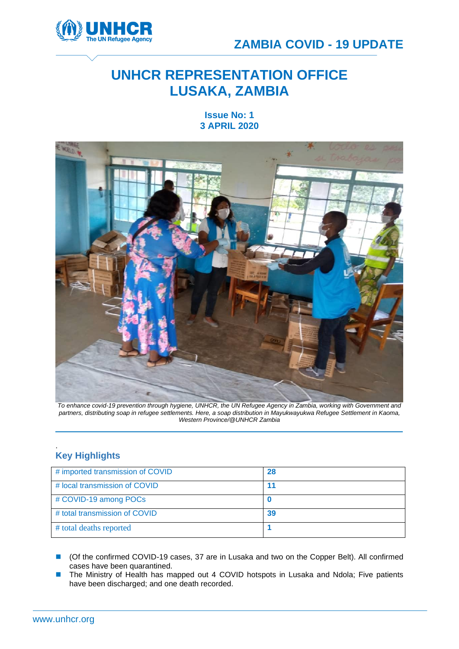

# **UNHCR REPRESENTATION OFFICE LUSAKA, ZAMBIA**

**Issue No: 1 3 APRIL 2020**



*To enhance covid-19 prevention through hygiene, UNHCR, the UN Refugee Agency in Zambia, working with Government and partners, distributing soap in refugee settlements. Here, a soap distribution in Mayukwayukwa Refugee Settlement in Kaoma, Western Province/@UNHCR Zambia* \_\_\_\_\_\_\_\_\_\_\_\_\_\_\_\_\_\_\_\_\_\_\_\_\_\_\_\_\_\_\_\_\_\_\_\_\_\_\_\_\_\_\_\_\_\_\_\_\_\_\_\_\_\_\_\_\_\_\_\_\_\_\_\_\_\_\_\_\_\_\_\_\_\_\_\_\_\_\_\_\_

#### . **Key Highlights**

| # imported transmission of COVID | 28 |
|----------------------------------|----|
| # local transmission of COVID    | 11 |
| # COVID-19 among POCs            |    |
| # total transmission of COVID    | 39 |
| # total deaths reported          |    |

- (Of the confirmed COVID-19 cases, 37 are in Lusaka and two on the Copper Belt). All confirmed cases have been quarantined.
- The Ministry of Health has mapped out 4 COVID hotspots in Lusaka and Ndola; Five patients have been discharged; and one death recorded.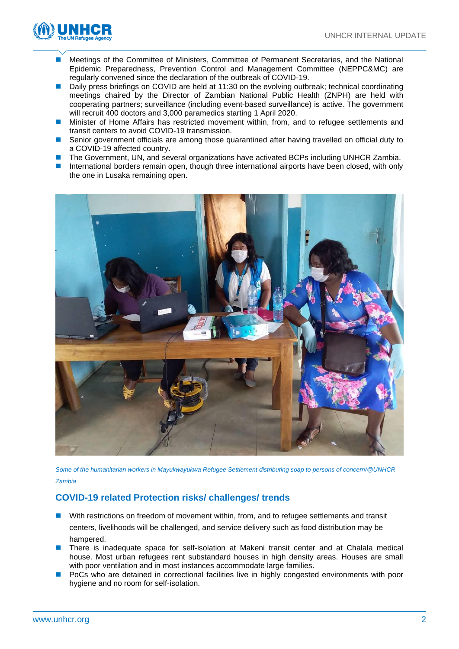

- Meetings of the Committee of Ministers, Committee of Permanent Secretaries, and the National Epidemic Preparedness, Prevention Control and Management Committee (NEPPC&MC) are regularly convened since the declaration of the outbreak of COVID-19.
- Daily press briefings on COVID are held at 11:30 on the evolving outbreak; technical coordinating meetings chaired by the Director of Zambian National Public Health (ZNPH) are held with cooperating partners; surveillance (including event-based surveillance) is active. The government will recruit 400 doctors and 3,000 paramedics starting 1 April 2020.
- Minister of Home Affairs has restricted movement within, from, and to refugee settlements and transit centers to avoid COVID-19 transmission.
- Senior government officials are among those quarantined after having travelled on official duty to a COVID-19 affected country.
- The Government, UN, and several organizations have activated BCPs including UNHCR Zambia.
- International borders remain open, though three international airports have been closed, with only the one in Lusaka remaining open.



*Some of the humanitarian workers in Mayukwayukwa Refugee Settlement distributing soap to persons of concern/@UNHCR Zambia*

## **COVID-19 related Protection risks/ challenges/ trends**

- With restrictions on freedom of movement within, from, and to refugee settlements and transit centers, livelihoods will be challenged, and service delivery such as food distribution may be hampered.
- There is inadequate space for self-isolation at Makeni transit center and at Chalala medical house. Most urban refugees rent substandard houses in high density areas. Houses are small with poor ventilation and in most instances accommodate large families.
- PoCs who are detained in correctional facilities live in highly congested environments with poor hygiene and no room for self-isolation.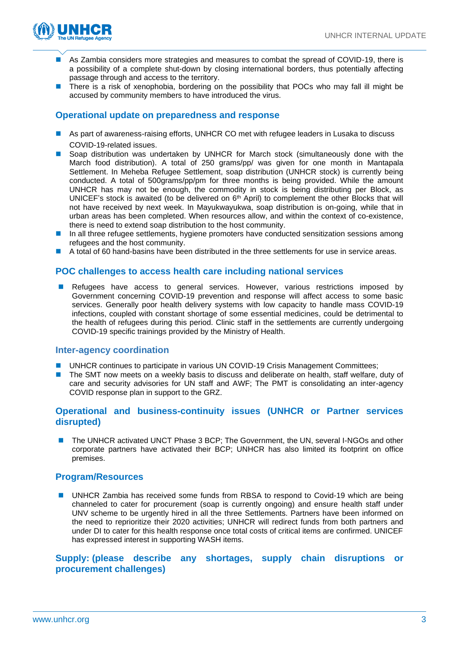

- As Zambia considers more strategies and measures to combat the spread of COVID-19, there is a possibility of a complete shut-down by closing international borders, thus potentially affecting passage through and access to the territory.
- There is a risk of xenophobia, bordering on the possibility that POCs who may fall ill might be accused by community members to have introduced the virus.

## **Operational update on preparedness and response**

- As part of awareness-raising efforts, UNHCR CO met with refugee leaders in Lusaka to discuss COVID-19-related issues.
- Soap distribution was undertaken by UNHCR for March stock (simultaneously done with the March food distribution). A total of 250 grams/pp/ was given for one month in Mantapala Settlement. In Meheba Refugee Settlement, soap distribution (UNHCR stock) is currently being conducted. A total of 500grams/pp/pm for three months is being provided. While the amount UNHCR has may not be enough, the commodity in stock is being distributing per Block, as UNICEF's stock is awaited (to be delivered on 6<sup>th</sup> April) to complement the other Blocks that will not have received by next week. In Mayukwayukwa, soap distribution is on-going, while that in urban areas has been completed. When resources allow, and within the context of co-existence, there is need to extend soap distribution to the host community.
- In all three refugee settlements, hygiene promoters have conducted sensitization sessions among refugees and the host community.
- A total of 60 hand-basins have been distributed in the three settlements for use in service areas.

## **POC challenges to access health care including national services**

■ Refugees have access to general services. However, various restrictions imposed by Government concerning COVID-19 prevention and response will affect access to some basic services. Generally poor health delivery systems with low capacity to handle mass COVID-19 infections, coupled with constant shortage of some essential medicines, could be detrimental to the health of refugees during this period. Clinic staff in the settlements are currently undergoing COVID-19 specific trainings provided by the Ministry of Health.

#### **Inter-agency coordination**

- UNHCR continues to participate in various UN COVID-19 Crisis Management Committees;
- The SMT now meets on a weekly basis to discuss and deliberate on health, staff welfare, duty of care and security advisories for UN staff and AWF; The PMT is consolidating an inter-agency COVID response plan in support to the GRZ.

## **Operational and business-continuity issues (UNHCR or Partner services disrupted)**

The UNHCR activated UNCT Phase 3 BCP; The Government, the UN, several I-NGOs and other corporate partners have activated their BCP; UNHCR has also limited its footprint on office premises.

## **Program/Resources**

■ UNHCR Zambia has received some funds from RBSA to respond to Covid-19 which are being channeled to cater for procurement (soap is currently ongoing) and ensure health staff under UNV scheme to be urgently hired in all the three Settlements. Partners have been informed on the need to reprioritize their 2020 activities; UNHCR will redirect funds from both partners and under DI to cater for this health response once total costs of critical items are confirmed. UNICEF has expressed interest in supporting WASH items.

**Supply: (please describe any shortages, supply chain disruptions or procurement challenges)**